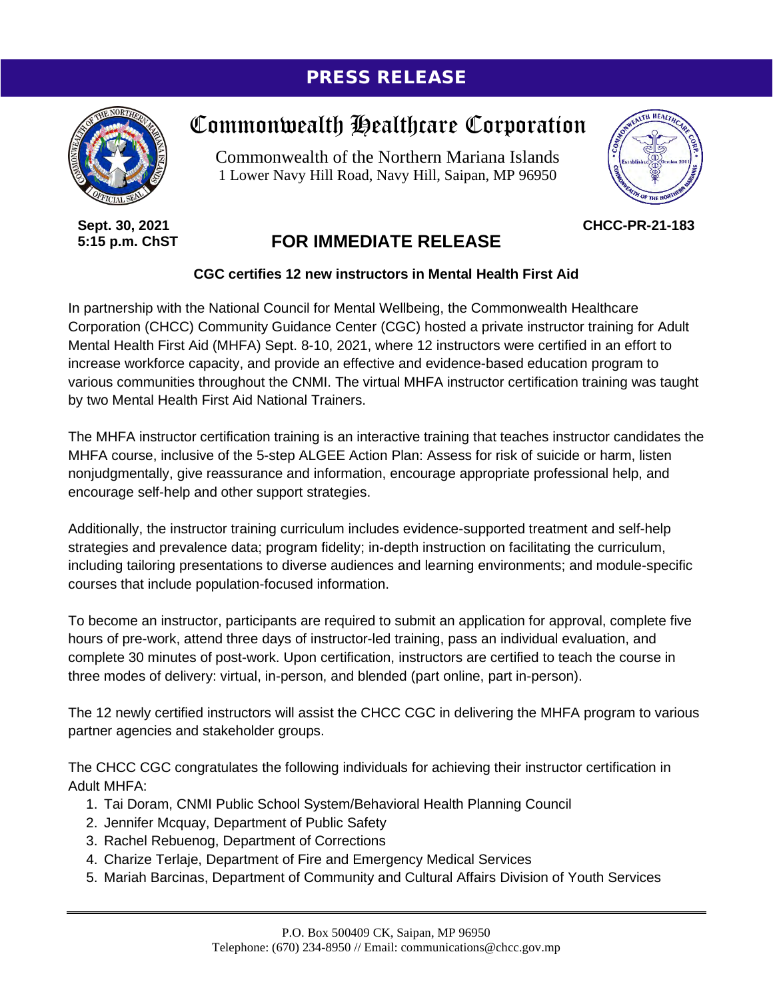## PRESS RELEASE



**Sept. 30, 2021 5:15 p.m. ChST**

## Commonwealth Healthcare Corporation

Commonwealth of the Northern Mariana Islands 1 Lower Navy Hill Road, Navy Hill, Saipan, MP 96950



**CHCC-PR-21-183**

## **FOR IMMEDIATE RELEASE**

## **CGC certifies 12 new instructors in Mental Health First Aid**

In partnership with the National Council for Mental Wellbeing, the Commonwealth Healthcare Corporation (CHCC) Community Guidance Center (CGC) hosted a private instructor training for Adult Mental Health First Aid (MHFA) Sept. 8-10, 2021, where 12 instructors were certified in an effort to increase workforce capacity, and provide an effective and evidence-based education program to various communities throughout the CNMI. The virtual MHFA instructor certification training was taught by two Mental Health First Aid National Trainers.

The MHFA instructor certification training is an interactive training that teaches instructor candidates the MHFA course, inclusive of the 5-step ALGEE Action Plan: Assess for risk of suicide or harm, listen nonjudgmentally, give reassurance and information, encourage appropriate professional help, and encourage self-help and other support strategies.

Additionally, the instructor training curriculum includes evidence-supported treatment and self-help strategies and prevalence data; program fidelity; in-depth instruction on facilitating the curriculum, including tailoring presentations to diverse audiences and learning environments; and module-specific courses that include population-focused information.

To become an instructor, participants are required to submit an application for approval, complete five hours of pre-work, attend three days of instructor-led training, pass an individual evaluation, and complete 30 minutes of post-work. Upon certification, instructors are certified to teach the course in three modes of delivery: virtual, in-person, and blended (part online, part in-person).

The 12 newly certified instructors will assist the CHCC CGC in delivering the MHFA program to various partner agencies and stakeholder groups.

The CHCC CGC congratulates the following individuals for achieving their instructor certification in Adult MHFA:

- 1. Tai Doram, CNMI Public School System/Behavioral Health Planning Council
- 2. Jennifer Mcquay, Department of Public Safety
- 3. Rachel Rebuenog, Department of Corrections
- 4. Charize Terlaje, Department of Fire and Emergency Medical Services
- 5. Mariah Barcinas, Department of Community and Cultural Affairs Division of Youth Services